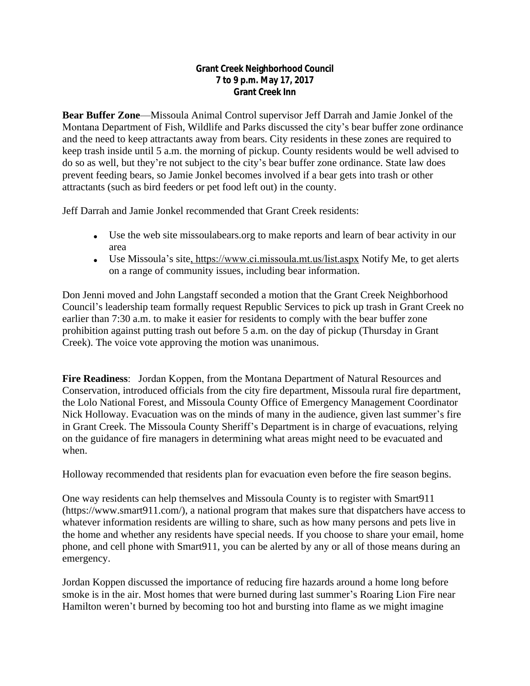## **Grant Creek Neighborhood Council 7 to 9 p.m. May 17, 2017 Grant Creek Inn**

**Bear Buffer Zone**—Missoula Animal Control supervisor Jeff Darrah and Jamie Jonkel of the Montana Department of Fish, Wildlife and Parks discussed the city's bear buffer zone ordinance and the need to keep attractants away from bears. City residents in these zones are required to keep trash inside until 5 a.m. the morning of pickup. County residents would be well advised to do so as well, but they're not subject to the city's bear buffer zone ordinance. State law does prevent feeding bears, so Jamie Jonkel becomes involved if a bear gets into trash or other attractants (such as bird feeders or pet food left out) in the county.

Jeff Darrah and Jamie Jonkel recommended that Grant Creek residents:

- Use the web site missoulabears.org to make reports and learn of bear activity in our area
- Use Missoula's site, https://www.ci.missoula.mt.us/list.aspx Notify Me, to get alerts on a range of community issues, including bear information.

Don Jenni moved and John Langstaff seconded a motion that the Grant Creek Neighborhood Council's leadership team formally request Republic Services to pick up trash in Grant Creek no earlier than 7:30 a.m. to make it easier for residents to comply with the bear buffer zone prohibition against putting trash out before 5 a.m. on the day of pickup (Thursday in Grant Creek). The voice vote approving the motion was unanimous.

**Fire Readiness**: Jordan Koppen, from the Montana Department of Natural Resources and Conservation, introduced officials from the city fire department, Missoula rural fire department, the Lolo National Forest, and Missoula County Office of Emergency Management Coordinator Nick Holloway. Evacuation was on the minds of many in the audience, given last summer's fire in Grant Creek. The Missoula County Sheriff's Department is in charge of evacuations, relying on the guidance of fire managers in determining what areas might need to be evacuated and when.

Holloway recommended that residents plan for evacuation even before the fire season begins.

One way residents can help themselves and Missoula County is to register with Smart911 (https://www.smart911.com/), a national program that makes sure that dispatchers have access to whatever information residents are willing to share, such as how many persons and pets live in the home and whether any residents have special needs. If you choose to share your email, home phone, and cell phone with Smart911, you can be alerted by any or all of those means during an emergency.

Jordan Koppen discussed the importance of reducing fire hazards around a home long before smoke is in the air. Most homes that were burned during last summer's Roaring Lion Fire near Hamilton weren't burned by becoming too hot and bursting into flame as we might imagine